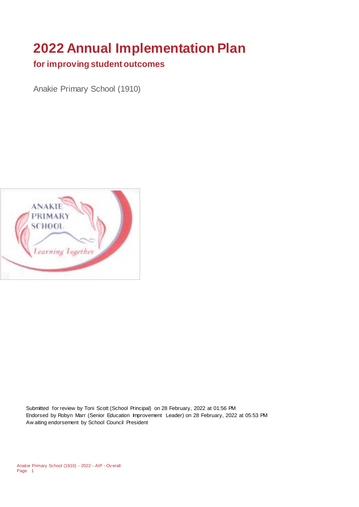# **2022 Annual Implementation Plan**

#### **for improving student outcomes**

Anakie Primary School (1910)



Submitted for review by Toni Scott (School Principal) on 28 February, 2022 at 01:56 PM Endorsed by Robyn Marr (Senior Education Improvement Leader) on 28 February, 2022 at 05:53 PM Aw aiting endorsement by School Council President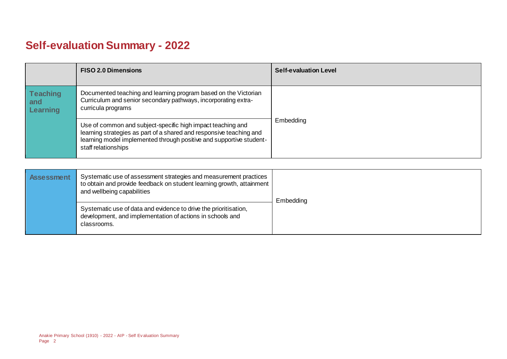## **Self-evaluation Summary - 2022**

|                                    | <b>FISO 2.0 Dimensions</b>                                                                                                                                                                                                       | <b>Self-evaluation Level</b> |
|------------------------------------|----------------------------------------------------------------------------------------------------------------------------------------------------------------------------------------------------------------------------------|------------------------------|
| <b>Teaching</b><br>and<br>Learning | Documented teaching and learning program based on the Victorian<br>Curriculum and senior secondary pathways, incorporating extra-<br>curricula programs                                                                          |                              |
|                                    | Use of common and subject-specific high impact teaching and<br>learning strategies as part of a shared and responsive teaching and<br>learning model implemented through positive and supportive student-<br>staff relationships | Embedding                    |

| <b>Assessment</b> | Systematic use of assessment strategies and measurement practices<br>to obtain and provide feedback on student learning growth, attainment<br>and wellbeing capabilities | Embedding |
|-------------------|--------------------------------------------------------------------------------------------------------------------------------------------------------------------------|-----------|
|                   | Systematic use of data and evidence to drive the prioritisation,<br>development, and implementation of actions in schools and<br>classrooms.                             |           |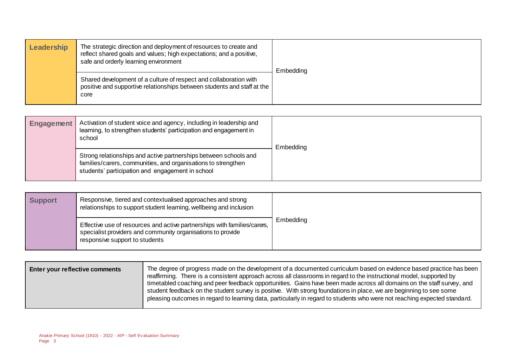| Leadership | The strategic direction and deployment of resources to create and<br>reflect shared goals and values; high expectations; and a positive,<br>safe and orderly learning environment | Embedding |
|------------|-----------------------------------------------------------------------------------------------------------------------------------------------------------------------------------|-----------|
|            | Shared development of a culture of respect and collaboration with<br>positive and supportive relationships between students and staff at the<br>core                              |           |

| <b>Engagement</b> | Activation of student voice and agency, including in leadership and<br>learning, to strengthen students' participation and engagement in<br>school                                    | Embedding |
|-------------------|---------------------------------------------------------------------------------------------------------------------------------------------------------------------------------------|-----------|
|                   | Strong relationships and active partnerships between schools and<br>families/carers, communities, and organisations to strengthen<br>students' participation and engagement in school |           |

| <b>Support</b> | Responsive, tiered and contextualised approaches and strong<br>relationships to support student learning, wellbeing and inclusion                                         |           |
|----------------|---------------------------------------------------------------------------------------------------------------------------------------------------------------------------|-----------|
|                | Effective use of resources and active partnerships with families/carers,<br>specialist providers and community organisations to provide<br>responsive support to students | Embedding |

| Enter your reflective comments | The degree of progress made on the development of a documented curriculum based on evidence based practice has been<br>reaffirming. There is a consistent approach across all classrooms in regard to the instructional model, supported by<br>timetabled coaching and peer feedback opportunities. Gains have been made across all domains on the staff survey, and |
|--------------------------------|----------------------------------------------------------------------------------------------------------------------------------------------------------------------------------------------------------------------------------------------------------------------------------------------------------------------------------------------------------------------|
|                                | student feedback on the student survey is positive. With strong foundations in place, we are beginning to see some<br>pleasing outcomes in regard to learning data, particularly in regard to students who were not reaching expected standard.                                                                                                                      |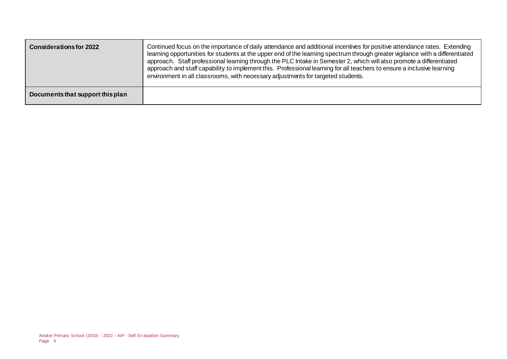| <b>Considerations for 2022</b>   | Continued focus on the importance of daily attendance and additional incentives for positive attendance rates. Extending<br>learning opportunities for students at the upper end of the learning spectrum through greater vigilance with a differentiated<br>approach. Staff professional learning through the PLC Intake in Semester 2, which will also promote a differentiated<br>approach and staff capability to implement this. Professional learning for all teachers to ensure a inclusive learning<br>environment in all classrooms, with necessary adjustments for targeted students. |
|----------------------------------|-------------------------------------------------------------------------------------------------------------------------------------------------------------------------------------------------------------------------------------------------------------------------------------------------------------------------------------------------------------------------------------------------------------------------------------------------------------------------------------------------------------------------------------------------------------------------------------------------|
| Documents that support this plan |                                                                                                                                                                                                                                                                                                                                                                                                                                                                                                                                                                                                 |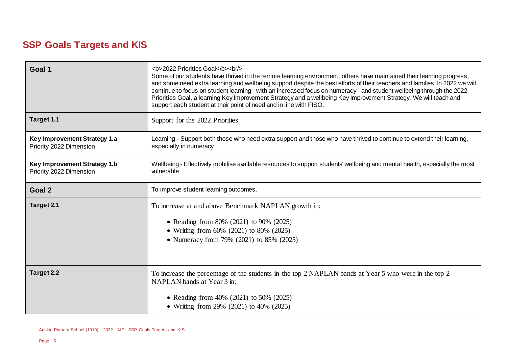### **SSP Goals Targets and KIS**

| Goal 1                                                  | <b>2022 Priorities Goal</b><br><br>h><br>Some of our students have thrived in the remote learning environment, others have maintained their learning progress,<br>and some need extra learning and wellbeing support despite the best efforts of their teachers and families. In 2022 we will<br>continue to focus on student learning - with an increased focus on numeracy - and student wellbeing through the 2022<br>Priorities Goal, a learning Key Improvement Strategy and a wellbeing Key Improvement Strategy. We will teach and<br>support each student at their point of need and in line with FISO. |  |
|---------------------------------------------------------|-----------------------------------------------------------------------------------------------------------------------------------------------------------------------------------------------------------------------------------------------------------------------------------------------------------------------------------------------------------------------------------------------------------------------------------------------------------------------------------------------------------------------------------------------------------------------------------------------------------------|--|
| Target 1.1                                              | Support for the 2022 Priorities                                                                                                                                                                                                                                                                                                                                                                                                                                                                                                                                                                                 |  |
| Key Improvement Strategy 1.a<br>Priority 2022 Dimension | Learning - Support both those who need extra support and those who have thrived to continue to extend their learning,<br>especially in numeracy                                                                                                                                                                                                                                                                                                                                                                                                                                                                 |  |
| Key Improvement Strategy 1.b<br>Priority 2022 Dimension | Wellbeing - Effectively mobilise available resources to support students' wellbeing and mental health, especially the most<br>vulnerable                                                                                                                                                                                                                                                                                                                                                                                                                                                                        |  |
| Goal 2                                                  | To improve student learning outcomes.                                                                                                                                                                                                                                                                                                                                                                                                                                                                                                                                                                           |  |
| Target 2.1                                              | To increase at and above Benchmark NAPLAN growth in:<br>• Reading from 80% (2021) to 90% (2025)<br>• Writing from 60% (2021) to 80% (2025)<br>• Numeracy from 79% (2021) to 85% (2025)                                                                                                                                                                                                                                                                                                                                                                                                                          |  |
| Target 2.2                                              | To increase the percentage of the students in the top 2 NAPLAN bands at Year 5 who were in the top 2<br>NAPLAN bands at Year 3 in:<br>• Reading from 40% (2021) to 50% (2025)<br>• Writing from 29% (2021) to 40% (2025)                                                                                                                                                                                                                                                                                                                                                                                        |  |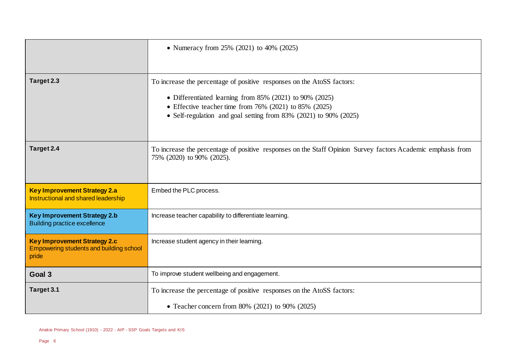|                                                                                         | • Numeracy from 25% (2021) to 40% (2025)                                                                                                 |  |
|-----------------------------------------------------------------------------------------|------------------------------------------------------------------------------------------------------------------------------------------|--|
|                                                                                         |                                                                                                                                          |  |
| Target 2.3                                                                              | To increase the percentage of positive responses on the AtoSS factors:                                                                   |  |
|                                                                                         | • Differentiated learning from 85% (2021) to 90% (2025)                                                                                  |  |
|                                                                                         | • Effective teacher time from $76\%$ (2021) to 85% (2025)<br>• Self-regulation and goal setting from 83% (2021) to 90% (2025)            |  |
|                                                                                         |                                                                                                                                          |  |
|                                                                                         |                                                                                                                                          |  |
| Target 2.4                                                                              | To increase the percentage of positive responses on the Staff Opinion Survey factors Academic emphasis from<br>75% (2020) to 90% (2025). |  |
|                                                                                         |                                                                                                                                          |  |
| <b>Key Improvement Strategy 2.a</b><br>Instructional and shared leadership              | Embed the PLC process.                                                                                                                   |  |
| <b>Key Improvement Strategy 2.b</b><br><b>Building practice excellence</b>              | Increase teacher capability to differentiate learning.                                                                                   |  |
| <b>Key Improvement Strategy 2.c</b><br>Empowering students and building school<br>pride | Increase student agency in their learning.                                                                                               |  |
| Goal 3                                                                                  | To improve student wellbeing and engagement.                                                                                             |  |
| Target 3.1                                                                              | To increase the percentage of positive responses on the AtoSS factors:                                                                   |  |
|                                                                                         | • Teacher concern from 80% (2021) to 90% (2025)                                                                                          |  |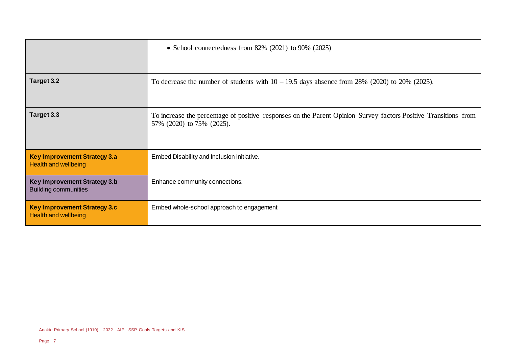|                                                                    | • School connectedness from $82\%$ (2021) to 90% (2025)                                                                                      |
|--------------------------------------------------------------------|----------------------------------------------------------------------------------------------------------------------------------------------|
| Target 3.2                                                         | To decrease the number of students with $10 - 19.5$ days absence from 28% (2020) to 20% (2025).                                              |
| Target 3.3                                                         | To increase the percentage of positive responses on the Parent Opinion Survey factors Positive Transitions from<br>57% (2020) to 75% (2025). |
| <b>Key Improvement Strategy 3.a</b><br><b>Health and wellbeing</b> | Embed Disability and Inclusion initiative.                                                                                                   |
| Key Improvement Strategy 3.b<br><b>Building communities</b>        | Enhance community connections.                                                                                                               |
| <b>Key Improvement Strategy 3.c</b><br><b>Health and wellbeing</b> | Embed whole-school approach to engagement                                                                                                    |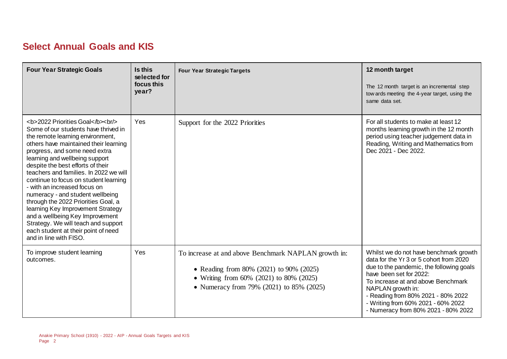### **Select Annual Goals and KIS**

| <b>Four Year Strategic Goals</b>                                                                                                                                                              | Is this<br>selected for<br>focus this<br>year? | <b>Four Year Strategic Targets</b>                                                                                                                                                     | 12 month target<br>The 12 month target is an incremental step<br>tow ards meeting the 4-year target, using the<br>same data set.                                                                                                                                                                                                       |
|-----------------------------------------------------------------------------------------------------------------------------------------------------------------------------------------------|------------------------------------------------|----------------------------------------------------------------------------------------------------------------------------------------------------------------------------------------|----------------------------------------------------------------------------------------------------------------------------------------------------------------------------------------------------------------------------------------------------------------------------------------------------------------------------------------|
| <b>2022 Priorities Goal</b><br><br><br>Some of our students have thrived in<br>the remote learning environment,<br>others have maintained their learning<br>progress, and some need extra<br> | Yes                                            | Support for the 2022 Priorities                                                                                                                                                        | For all students to make at least 12<br>months learning growth in the 12 month<br>period using teacher judgement data in<br>Reading, Writing and Mathematics from<br>Dec 2021 - Dec 2022.                                                                                                                                              |
| To improve student learning<br>outcomes.                                                                                                                                                      | Yes                                            | To increase at and above Benchmark NAPLAN growth in:<br>• Reading from 80% (2021) to 90% (2025)<br>• Writing from 60% (2021) to 80% (2025)<br>• Numeracy from 79% (2021) to 85% (2025) | Whilst we do not have benchmark growth<br>data for the Yr 3 or 5 cohort from 2020<br>due to the pandemic, the following goals<br>have been set for 2022:<br>To increase at and above Benchmark<br>NAPLAN growth in:<br>- Reading from 80% 2021 - 80% 2022<br>- Writing from 60% 2021 - 60% 2022<br>- Numeracy from 80% 2021 - 80% 2022 |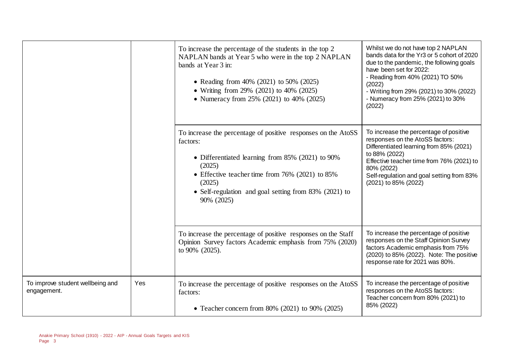|                                                 |     | To increase the percentage of the students in the top 2<br>NAPLAN bands at Year 5 who were in the top 2 NAPLAN<br>bands at Year 3 in:<br>• Reading from 40% (2021) to 50% (2025)<br>• Writing from 29% (2021) to 40% (2025)<br>• Numeracy from 25% (2021) to 40% (2025)     | Whilst we do not have top 2 NAPLAN<br>bands data for the Yr3 or 5 cohort of 2020<br>due to the pandemic, the following goals<br>have been set for 2022:<br>- Reading from 40% (2021) TO 50%<br>(2022)<br>- Writing from 29% (2021) to 30% (2022)<br>- Numeracy from 25% (2021) to 30%<br>(2022) |
|-------------------------------------------------|-----|-----------------------------------------------------------------------------------------------------------------------------------------------------------------------------------------------------------------------------------------------------------------------------|-------------------------------------------------------------------------------------------------------------------------------------------------------------------------------------------------------------------------------------------------------------------------------------------------|
|                                                 |     | To increase the percentage of positive responses on the AtoSS<br>factors:<br>• Differentiated learning from 85% (2021) to 90%<br>(2025)<br>• Effective teacher time from 76% (2021) to 85%<br>(2025)<br>• Self-regulation and goal setting from 83% (2021) to<br>90% (2025) | To increase the percentage of positive<br>responses on the AtoSS factors:<br>Differentiated learning from 85% (2021)<br>to 88% (2022)<br>Effective teacher time from 76% (2021) to<br>80% (2022)<br>Self-regulation and goal setting from 83%<br>(2021) to 85% (2022)                           |
|                                                 |     | To increase the percentage of positive responses on the Staff<br>Opinion Survey factors Academic emphasis from 75% (2020)<br>to 90% (2025).                                                                                                                                 | To increase the percentage of positive<br>responses on the Staff Opinion Survey<br>factors Academic emphasis from 75%<br>(2020) to 85% (2022). Note: The positive<br>response rate for 2021 was 80%.                                                                                            |
| To improve student wellbeing and<br>engagement. | Yes | To increase the percentage of positive responses on the AtoSS<br>factors:<br>• Teacher concern from 80% (2021) to 90% (2025)                                                                                                                                                | To increase the percentage of positive<br>responses on the AtoSS factors:<br>Teacher concern from 80% (2021) to<br>85% (2022)                                                                                                                                                                   |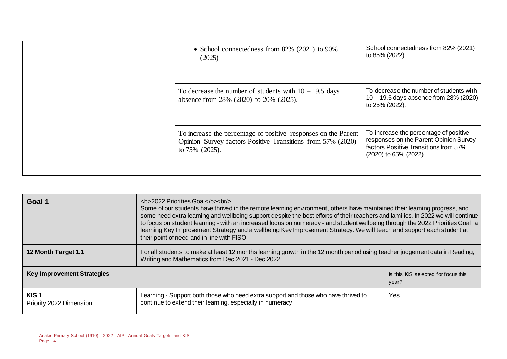|  |                                                                                                                                                    | • School connectedness from $82\%$ (2021) to 90%<br>(2025)                                                                                         | School connectedness from 82% (2021)<br>to 85% (2022)                                               |
|--|----------------------------------------------------------------------------------------------------------------------------------------------------|----------------------------------------------------------------------------------------------------------------------------------------------------|-----------------------------------------------------------------------------------------------------|
|  |                                                                                                                                                    | To decrease the number of students with $10 - 19.5$ days<br>absence from 28% (2020) to 20% (2025).                                                 | To decrease the number of students with<br>10 - 19.5 days absence from 28% (2020)<br>to 25% (2022). |
|  | To increase the percentage of positive responses on the Parent<br>Opinion Survey factors Positive Transitions from 57% (2020)<br>to $75\%$ (2025). | To increase the percentage of positive<br>responses on the Parent Opinion Survey<br>factors Positive Transitions from 57%<br>(2020) to 65% (2022). |                                                                                                     |

| Goal 1                                      | <b>2022 Priorities Goal</b><br>Some of our students have thrived in the remote learning environment, others have maintained their learning progress, and<br>some need extra learning and wellbeing support despite the best efforts of their teachers and families. In 2022 we will continue<br>to focus on student learning - with an increased focus on numeracy - and student wellbeing through the 2022 Priorities Goal, a<br>learning Key Improvement Strategy and a wellbeing Key Improvement Strategy. We will teach and support each student at<br>their point of need and in line with FISO. |                                              |  |  |
|---------------------------------------------|-------------------------------------------------------------------------------------------------------------------------------------------------------------------------------------------------------------------------------------------------------------------------------------------------------------------------------------------------------------------------------------------------------------------------------------------------------------------------------------------------------------------------------------------------------------------------------------------------------|----------------------------------------------|--|--|
| 12 Month Target 1.1                         | For all students to make at least 12 months learning growth in the 12 month period using teacher judgement data in Reading,<br>Writing and Mathematics from Dec 2021 - Dec 2022.                                                                                                                                                                                                                                                                                                                                                                                                                      |                                              |  |  |
| <b>Key Improvement Strategies</b>           |                                                                                                                                                                                                                                                                                                                                                                                                                                                                                                                                                                                                       | Is this KIS selected for focus this<br>year? |  |  |
| KIS <sub>1</sub><br>Priority 2022 Dimension | Learning - Support both those who need extra support and those who have thrived to<br>continue to extend their learning, especially in numeracy                                                                                                                                                                                                                                                                                                                                                                                                                                                       | Yes                                          |  |  |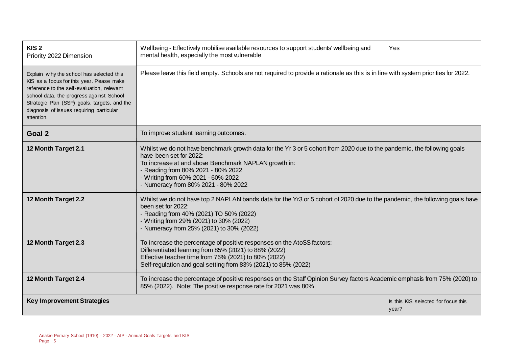| KIS <sub>2</sub><br>Priority 2022 Dimension                                                                                                                                                                                                                                               | Wellbeing - Effectively mobilise available resources to support students' wellbeing and<br>Yes<br>mental health, especially the most vulnerable                                                                                                                                                                               |                                              |  |  |
|-------------------------------------------------------------------------------------------------------------------------------------------------------------------------------------------------------------------------------------------------------------------------------------------|-------------------------------------------------------------------------------------------------------------------------------------------------------------------------------------------------------------------------------------------------------------------------------------------------------------------------------|----------------------------------------------|--|--|
| Explain why the school has selected this<br>KIS as a focus for this year. Please make<br>reference to the self-evaluation, relevant<br>school data, the progress against School<br>Strategic Plan (SSP) goals, targets, and the<br>diagnosis of issues requiring particular<br>attention. | Please leave this field empty. Schools are not required to provide a rationale as this is in line with system priorities for 2022.                                                                                                                                                                                            |                                              |  |  |
| Goal 2                                                                                                                                                                                                                                                                                    | To improve student learning outcomes.                                                                                                                                                                                                                                                                                         |                                              |  |  |
| 12 Month Target 2.1                                                                                                                                                                                                                                                                       | Whilst we do not have benchmark growth data for the Yr 3 or 5 cohort from 2020 due to the pandemic, the following goals<br>have been set for 2022:<br>To increase at and above Benchmark NAPLAN growth in:<br>- Reading from 80% 2021 - 80% 2022<br>- Writing from 60% 2021 - 60% 2022<br>- Numeracy from 80% 2021 - 80% 2022 |                                              |  |  |
| 12 Month Target 2.2                                                                                                                                                                                                                                                                       | Whilst we do not have top 2 NAPLAN bands data for the Yr3 or 5 cohort of 2020 due to the pandemic, the following goals have<br>been set for 2022:<br>- Reading from 40% (2021) TO 50% (2022)<br>- Writing from 29% (2021) to 30% (2022)<br>- Numeracy from 25% (2021) to 30% (2022)                                           |                                              |  |  |
| 12 Month Target 2.3                                                                                                                                                                                                                                                                       | To increase the percentage of positive responses on the AtoSS factors:<br>Differentiated learning from 85% (2021) to 88% (2022)<br>Effective teacher time from 76% (2021) to 80% (2022)<br>Self-regulation and goal setting from 83% (2021) to 85% (2022)                                                                     |                                              |  |  |
| 12 Month Target 2.4                                                                                                                                                                                                                                                                       | To increase the percentage of positive responses on the Staff Opinion Survey factors Academic emphasis from 75% (2020) to<br>85% (2022). Note: The positive response rate for 2021 was 80%.                                                                                                                                   |                                              |  |  |
| <b>Key Improvement Strategies</b>                                                                                                                                                                                                                                                         |                                                                                                                                                                                                                                                                                                                               | Is this KIS selected for focus this<br>year? |  |  |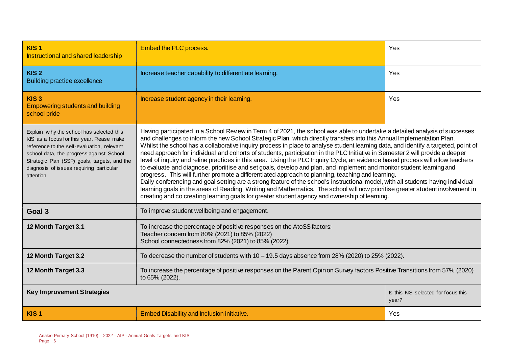| KIS <sub>1</sub><br>Instructional and shared leadership                                                                                                                                                                                                                                   | <b>Embed the PLC process.</b><br>Yes                                                                                                                                                                                                                                                                                                                                                                                                                                                                                                                                                                                                                                                                                                                                                                                                                                                                                                                                                                                                                                                                                                                                                                                                                                 |  |  |  |  |
|-------------------------------------------------------------------------------------------------------------------------------------------------------------------------------------------------------------------------------------------------------------------------------------------|----------------------------------------------------------------------------------------------------------------------------------------------------------------------------------------------------------------------------------------------------------------------------------------------------------------------------------------------------------------------------------------------------------------------------------------------------------------------------------------------------------------------------------------------------------------------------------------------------------------------------------------------------------------------------------------------------------------------------------------------------------------------------------------------------------------------------------------------------------------------------------------------------------------------------------------------------------------------------------------------------------------------------------------------------------------------------------------------------------------------------------------------------------------------------------------------------------------------------------------------------------------------|--|--|--|--|
| KIS <sub>2</sub><br><b>Building practice excellence</b>                                                                                                                                                                                                                                   | Yes<br>Increase teacher capability to differentiate learning.                                                                                                                                                                                                                                                                                                                                                                                                                                                                                                                                                                                                                                                                                                                                                                                                                                                                                                                                                                                                                                                                                                                                                                                                        |  |  |  |  |
| KIS <sub>3</sub><br><b>Empowering students and building</b><br>school pride                                                                                                                                                                                                               | Yes<br>Increase student agency in their learning.                                                                                                                                                                                                                                                                                                                                                                                                                                                                                                                                                                                                                                                                                                                                                                                                                                                                                                                                                                                                                                                                                                                                                                                                                    |  |  |  |  |
| Explain why the school has selected this<br>KIS as a focus for this year. Please make<br>reference to the self-evaluation, relevant<br>school data, the progress against School<br>Strategic Plan (SSP) goals, targets, and the<br>diagnosis of issues requiring particular<br>attention. | Having participated in a School Review in Term 4 of 2021, the school was able to undertake a detailed analysis of successes<br>and challenges to inform the new School Strategic Plan, which directly transfers into this Annual Implementation Plan.<br>Whilst the school has a collaborative inquiry process in place to analyse student learning data, and identify a targeted, point of<br>need approach for individual and cohorts of students, participation in the PLC Initiative in Semester 2 will provide a deeper<br>level of inquiry and refine practices in this area. Using the PLC Inquiry Cycle, an evidence based process will allow teachers<br>to evaluate and diagnose, prioriitise and set goals, develop and plan, and implement and monitor student learning and<br>progress. This will further promote a differentiated approach to planning, teaching and learning.<br>Daily conferencing and goal setting are a strong feature of the school's instructional model, with all students having individual<br>learning goals in the areas of Reading, Writing and Mathematics. The school will now prioritise greater student involvement in<br>creating and co creating learning goals for greater student agency and ownership of learning. |  |  |  |  |
| Goal 3                                                                                                                                                                                                                                                                                    | To improve student wellbeing and engagement.                                                                                                                                                                                                                                                                                                                                                                                                                                                                                                                                                                                                                                                                                                                                                                                                                                                                                                                                                                                                                                                                                                                                                                                                                         |  |  |  |  |
| 12 Month Target 3.1                                                                                                                                                                                                                                                                       | To increase the percentage of positive responses on the AtoSS factors:<br>Teacher concern from 80% (2021) to 85% (2022)<br>School connectedness from 82% (2021) to 85% (2022)                                                                                                                                                                                                                                                                                                                                                                                                                                                                                                                                                                                                                                                                                                                                                                                                                                                                                                                                                                                                                                                                                        |  |  |  |  |
| 12 Month Target 3.2                                                                                                                                                                                                                                                                       | To decrease the number of students with $10-19.5$ days absence from $28\%$ (2020) to $25\%$ (2022).                                                                                                                                                                                                                                                                                                                                                                                                                                                                                                                                                                                                                                                                                                                                                                                                                                                                                                                                                                                                                                                                                                                                                                  |  |  |  |  |
| 12 Month Target 3.3                                                                                                                                                                                                                                                                       | To increase the percentage of positive responses on the Parent Opinion Survey factors Positive Transitions from 57% (2020)<br>to 65% (2022).                                                                                                                                                                                                                                                                                                                                                                                                                                                                                                                                                                                                                                                                                                                                                                                                                                                                                                                                                                                                                                                                                                                         |  |  |  |  |
| <b>Key Improvement Strategies</b><br>Is this KIS selected for focus this<br>year?                                                                                                                                                                                                         |                                                                                                                                                                                                                                                                                                                                                                                                                                                                                                                                                                                                                                                                                                                                                                                                                                                                                                                                                                                                                                                                                                                                                                                                                                                                      |  |  |  |  |
| KIS <sub>1</sub>                                                                                                                                                                                                                                                                          | <b>Embed Disability and Inclusion initiative.</b><br>Yes                                                                                                                                                                                                                                                                                                                                                                                                                                                                                                                                                                                                                                                                                                                                                                                                                                                                                                                                                                                                                                                                                                                                                                                                             |  |  |  |  |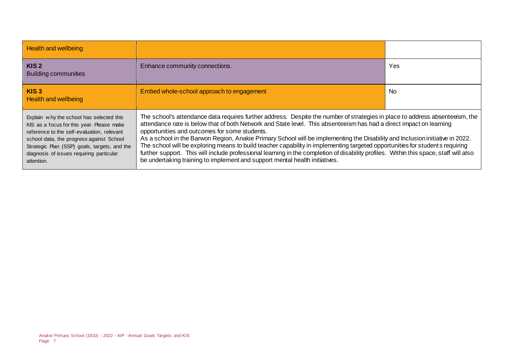| <b>Health and wellbeing</b>                                                                                                                                                                                                                                                               |                                                                                                                                                                                                                                                                                                                                                                                                                                                                                                                                                                                                                                                                                                                                                                                               |     |
|-------------------------------------------------------------------------------------------------------------------------------------------------------------------------------------------------------------------------------------------------------------------------------------------|-----------------------------------------------------------------------------------------------------------------------------------------------------------------------------------------------------------------------------------------------------------------------------------------------------------------------------------------------------------------------------------------------------------------------------------------------------------------------------------------------------------------------------------------------------------------------------------------------------------------------------------------------------------------------------------------------------------------------------------------------------------------------------------------------|-----|
| KIS <sub>2</sub><br><b>Building communities</b>                                                                                                                                                                                                                                           | Enhance community connections.                                                                                                                                                                                                                                                                                                                                                                                                                                                                                                                                                                                                                                                                                                                                                                | Yes |
| KIS <sub>3</sub><br><b>Health and wellbeing</b>                                                                                                                                                                                                                                           | Embed whole-school approach to engagement                                                                                                                                                                                                                                                                                                                                                                                                                                                                                                                                                                                                                                                                                                                                                     | No. |
| Explain why the school has selected this<br>KIS as a focus for this year. Please make<br>reference to the self-evaluation, relevant<br>school data, the progress against School<br>Strategic Plan (SSP) goals, targets, and the<br>diagnosis of issues requiring particular<br>attention. | The school's attendance data requires further address. Despite the number of strategies in place to address absenteeism, the<br>attendance rate is below that of both Network and State level. This absenteeism has had a direct impact on learning<br>opportunities and outcomes for some students.<br>As a school in the Barwon Region, Anakie Primary School will be implementing the Disability and Inclusion initiative in 2022.<br>The school will be exploring means to build teacher capability in implementing targeted opportunities for students requiring<br>further support. This will include professional learning in the completion of disability profiles. Within this space, staff will also<br>be undertaking training to implement and support mental health initiatives. |     |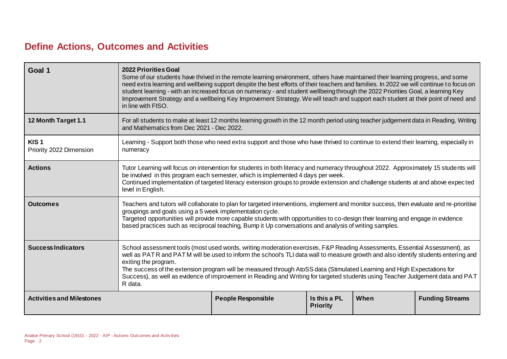### **Define Actions, Outcomes and Activities**

| Goal 1                                      | <b>2022 Priorities Goal</b><br>Some of our students have thrived in the remote learning environment, others have maintained their learning progress, and some<br>need extra learning and wellbeing support despite the best efforts of their teachers and families. In 2022 we will continue to focus on<br>student learning - with an increased focus on numeracy - and student wellbeing through the 2022 Priorities Goal, a learning Key<br>Improvement Strategy and a wellbeing Key Improvement Strategy. We will teach and support each student at their point of need and<br>in line with FISO. |                                                                                                                                     |                                 |      |                        |  |
|---------------------------------------------|-------------------------------------------------------------------------------------------------------------------------------------------------------------------------------------------------------------------------------------------------------------------------------------------------------------------------------------------------------------------------------------------------------------------------------------------------------------------------------------------------------------------------------------------------------------------------------------------------------|-------------------------------------------------------------------------------------------------------------------------------------|---------------------------------|------|------------------------|--|
| 12 Month Target 1.1                         | and Mathematics from Dec 2021 - Dec 2022.                                                                                                                                                                                                                                                                                                                                                                                                                                                                                                                                                             | For all students to make at least 12 months learning growth in the 12 month period using teacher judgement data in Reading, Writing |                                 |      |                        |  |
| KIS <sub>1</sub><br>Priority 2022 Dimension | numeracy                                                                                                                                                                                                                                                                                                                                                                                                                                                                                                                                                                                              | Learning - Support both those who need extra support and those who have thrived to continue to extend their learning, especially in |                                 |      |                        |  |
| <b>Actions</b>                              | Tutor Learning will focus on intervention for students in both literacy and numeracy throughout 2022. Approximately 15 students will<br>be involved in this program each semester, which is implemented 4 days per week.<br>Continued implementation of targeted literacy extension groups to provide extension and challenge students at and above expected<br>level in English.                                                                                                                                                                                                                     |                                                                                                                                     |                                 |      |                        |  |
| <b>Outcomes</b>                             | Teachers and tutors will collaborate to plan for targeted interventions, implement and monitor success, then evaluate and re-prioritise<br>groupings and goals using a 5 week implementation cycle.<br>Targeted opportunities will provide more capable students with opportunities to co-design their learning and engage in evidence<br>based practices such as reciprocal teaching, Bump it Up conversations and analysis of writing samples.                                                                                                                                                      |                                                                                                                                     |                                 |      |                        |  |
| <b>Success Indicators</b>                   | School assessment tools (most used words, writing moderation exercises, F&P Reading Assessments, Essential Assessment), as<br>well as PATR and PATM will be used to inform the school's TLI data wall to measure growth and also identify students entering and<br>exiting the program.<br>The success of the extension program will be measured through AtoSS data (Stimulated Learning and High Expectations for<br>Success), as well as evidence of improvement in Reading and Writing for targeted students using Teacher Judgement data and PAT<br>R data.                                       |                                                                                                                                     |                                 |      |                        |  |
| <b>Activities and Milestones</b>            |                                                                                                                                                                                                                                                                                                                                                                                                                                                                                                                                                                                                       | <b>People Responsible</b>                                                                                                           | Is this a PL<br><b>Priority</b> | When | <b>Funding Streams</b> |  |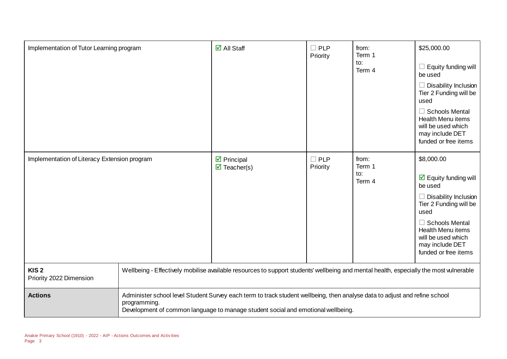| Implementation of Tutor Learning program     |                                                                                                                                                                                                                                | $\overline{\Box}$ All Staff                                      | $\Box$ PLP<br>Priority    | from:<br>Term 1<br>to:<br>Term 4 | \$25,000.00<br>Equity funding will<br>be used<br>Disability Inclusion<br>Tier 2 Funding will be<br>used<br>$\Box$ Schools Mental<br><b>Health Menu items</b><br>will be used which<br>may include DET<br>funded or free items                       |
|----------------------------------------------|--------------------------------------------------------------------------------------------------------------------------------------------------------------------------------------------------------------------------------|------------------------------------------------------------------|---------------------------|----------------------------------|-----------------------------------------------------------------------------------------------------------------------------------------------------------------------------------------------------------------------------------------------------|
| Implementation of Literacy Extension program |                                                                                                                                                                                                                                | $\triangleright$ Principal<br>$\overline{\mathbf{M}}$ Teacher(s) | $\square$ PLP<br>Priority | from:<br>Term 1<br>to:<br>Term 4 | \$8,000.00<br>$\overline{\boxtimes}$ Equity funding will<br>be used<br>Disability Inclusion<br>Tier 2 Funding will be<br>used<br>$\Box$ Schools Mental<br><b>Health Menu items</b><br>will be used which<br>may include DET<br>funded or free items |
| KIS <sub>2</sub><br>Priority 2022 Dimension  | Wellbeing - Effectively mobilise available resources to support students' wellbeing and mental health, especially the most vulnerable                                                                                          |                                                                  |                           |                                  |                                                                                                                                                                                                                                                     |
| <b>Actions</b>                               | Administer school level Student Survey each term to track student wellbeing, then analyse data to adjust and refine school<br>programming.<br>Development of common language to manage student social and emotional wellbeing. |                                                                  |                           |                                  |                                                                                                                                                                                                                                                     |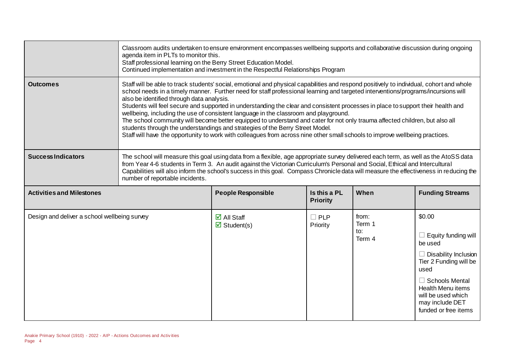|                                              | Classroom audits undertaken to ensure environment encompasses wellbeing supports and collaborative discussion during ongoing<br>agenda item in PLTs to monitor this.<br>Staff professional learning on the Berry Street Education Model.<br>Continued implementation and investment in the Respectful Relationships Program                                                                                                                                                                                                                                                                                                                                                                                                                                                                                                                                                                             |                                                                                                                                                                                                                                                                                                                                                                                                               |                                 |                                  |                                                                                                                                                                                                                                        |
|----------------------------------------------|---------------------------------------------------------------------------------------------------------------------------------------------------------------------------------------------------------------------------------------------------------------------------------------------------------------------------------------------------------------------------------------------------------------------------------------------------------------------------------------------------------------------------------------------------------------------------------------------------------------------------------------------------------------------------------------------------------------------------------------------------------------------------------------------------------------------------------------------------------------------------------------------------------|---------------------------------------------------------------------------------------------------------------------------------------------------------------------------------------------------------------------------------------------------------------------------------------------------------------------------------------------------------------------------------------------------------------|---------------------------------|----------------------------------|----------------------------------------------------------------------------------------------------------------------------------------------------------------------------------------------------------------------------------------|
| <b>Outcomes</b>                              | Staff will be able to track students' social, emotional and physical capabilities and respond positively to individual, cohort and whole<br>school needs in a timely manner. Further need for staff professional learning and targeted interventions/programs/incursions will<br>also be identified through data analysis.<br>Students will feel secure and supported in understanding the clear and consistent processes in place to support their health and<br>wellbeing, including the use of consistent language in the classroom and playground.<br>The school community will become better equipped to understand and cater for not only trauma affected children, but also all<br>students through the understandings and strategies of the Berry Street Model.<br>Staff will have the opportunity to work with colleagues from across nine other small schools to improve wellbeing practices. |                                                                                                                                                                                                                                                                                                                                                                                                               |                                 |                                  |                                                                                                                                                                                                                                        |
| <b>Success Indicators</b>                    | number of reportable incidents.                                                                                                                                                                                                                                                                                                                                                                                                                                                                                                                                                                                                                                                                                                                                                                                                                                                                         | The school will measure this goal using data from a flexible, age appropriate survey delivered each term, as well as the AtoSS data<br>from Year 4-6 students in Term 3. An audit against the Victorian Curriculum's Personal and Social, Ethical and Intercultural<br>Capabilities will also inform the school's success in this goal. Compass Chronicle data will measure the effectiveness in reducing the |                                 |                                  |                                                                                                                                                                                                                                        |
| <b>Activities and Milestones</b>             |                                                                                                                                                                                                                                                                                                                                                                                                                                                                                                                                                                                                                                                                                                                                                                                                                                                                                                         | <b>People Responsible</b>                                                                                                                                                                                                                                                                                                                                                                                     | Is this a PL<br><b>Priority</b> | When                             | <b>Funding Streams</b>                                                                                                                                                                                                                 |
| Design and deliver a school wellbeing survey |                                                                                                                                                                                                                                                                                                                                                                                                                                                                                                                                                                                                                                                                                                                                                                                                                                                                                                         | $\overline{\Box}$ All Staff<br>$\boxtimes$ Student(s)                                                                                                                                                                                                                                                                                                                                                         | $\Box$ PLP<br>Priority          | from:<br>Term 1<br>to:<br>Term 4 | \$0.00<br>$\Box$ Equity funding will<br>be used<br>$\Box$ Disability Inclusion<br>Tier 2 Funding will be<br>used<br>$\Box$ Schools Mental<br><b>Health Menu items</b><br>will be used which<br>may include DET<br>funded or free items |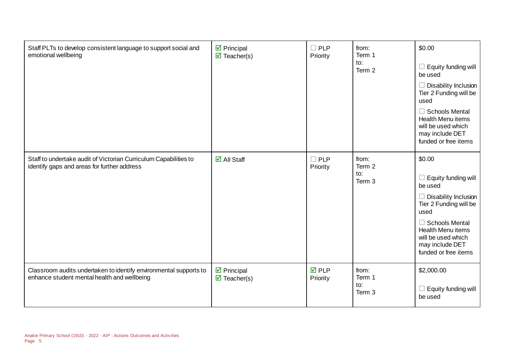| Staff PLTs to develop consistent language to support social and<br>emotional wellbeing                           | $\triangleright$ Principal<br>$\triangledown$ Teacher(s) | $\square$ PLP<br>Priority      | from:<br>Term 1<br>to:<br>Term 2 | \$0.00<br>$\Box$ Equity funding will<br>be used<br>$\Box$ Disability Inclusion<br>Tier 2 Funding will be<br>used<br>$\Box$ Schools Mental<br><b>Health Menu items</b><br>will be used which<br>may include DET<br>funded or free items |
|------------------------------------------------------------------------------------------------------------------|----------------------------------------------------------|--------------------------------|----------------------------------|----------------------------------------------------------------------------------------------------------------------------------------------------------------------------------------------------------------------------------------|
| Staff to undertake audit of Victorian Curriculum Capabilities to<br>identify gaps and areas for further address  | $\boxdot$ All Staff                                      | $\square$ PLP<br>Priority      | from:<br>Term 2<br>to:<br>Term 3 | \$0.00<br>$\Box$ Equity funding will<br>be used<br>$\Box$ Disability Inclusion<br>Tier 2 Funding will be<br>used<br>$\Box$ Schools Mental<br><b>Health Menu items</b><br>will be used which<br>may include DET<br>funded or free items |
| Classroom audits undertaken to identify environmental supports to<br>enhance student mental health and wellbeing | $\triangleright$ Principal<br>$\triangledown$ Teacher(s) | $\overline{M}$ PLP<br>Priority | from:<br>Term 1<br>to:<br>Term 3 | \$2,000.00<br>$\Box$ Equity funding will<br>be used                                                                                                                                                                                    |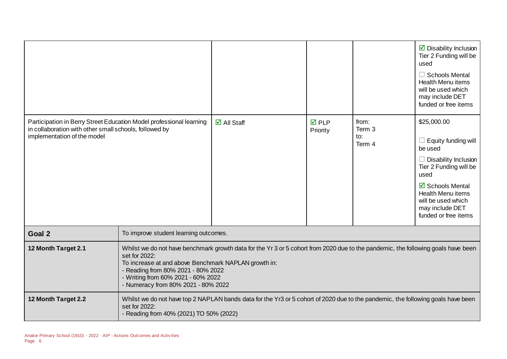|                                                                                                                                                              |                                                                                                                                                                                                                                                                                                                               |                                                                                                                                  |                                |                                  | $\triangleright$ Disability Inclusion<br>Tier 2 Funding will be<br>used<br>$\Box$ Schools Mental<br><b>Health Menu items</b><br>will be used which<br>may include DET<br>funded or free items                                                 |
|--------------------------------------------------------------------------------------------------------------------------------------------------------------|-------------------------------------------------------------------------------------------------------------------------------------------------------------------------------------------------------------------------------------------------------------------------------------------------------------------------------|----------------------------------------------------------------------------------------------------------------------------------|--------------------------------|----------------------------------|-----------------------------------------------------------------------------------------------------------------------------------------------------------------------------------------------------------------------------------------------|
| Participation in Berry Street Education Model professional learning<br>in collaboration with other small schools, followed by<br>implementation of the model |                                                                                                                                                                                                                                                                                                                               | $\boxdot$ All Staff                                                                                                              | $\overline{M}$ PLP<br>Priority | from:<br>Term 3<br>to:<br>Term 4 | \$25,000.00<br>$\Box$ Equity funding will<br>be used<br>$\Box$ Disability Inclusion<br>Tier 2 Funding will be<br>used<br><b>Ø</b> Schools Mental<br><b>Health Menu items</b><br>will be used which<br>may include DET<br>funded or free items |
| Goal 2                                                                                                                                                       | To improve student learning outcomes.                                                                                                                                                                                                                                                                                         |                                                                                                                                  |                                |                                  |                                                                                                                                                                                                                                               |
| 12 Month Target 2.1                                                                                                                                          | Whilst we do not have benchmark growth data for the Yr 3 or 5 cohort from 2020 due to the pandemic, the following goals have been<br>set for 2022:<br>To increase at and above Benchmark NAPLAN growth in:<br>- Reading from 80% 2021 - 80% 2022<br>- Writing from 60% 2021 - 60% 2022<br>- Numeracy from 80% 2021 - 80% 2022 |                                                                                                                                  |                                |                                  |                                                                                                                                                                                                                                               |
| 12 Month Target 2.2                                                                                                                                          | set for 2022:<br>- Reading from 40% (2021) TO 50% (2022)                                                                                                                                                                                                                                                                      | Whilst we do not have top 2 NAPLAN bands data for the Yr3 or 5 cohort of 2020 due to the pandemic, the following goals have been |                                |                                  |                                                                                                                                                                                                                                               |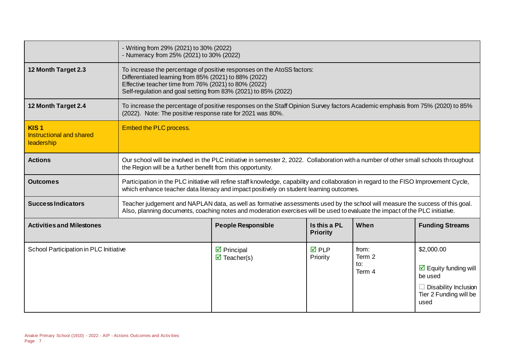|                                                                          | - Writing from 29% (2021) to 30% (2022)<br>- Numeracy from 25% (2021) to 30% (2022) |                                                                                                                                                                                                                                                               |                                 |                                  |                                                                                                                    |
|--------------------------------------------------------------------------|-------------------------------------------------------------------------------------|---------------------------------------------------------------------------------------------------------------------------------------------------------------------------------------------------------------------------------------------------------------|---------------------------------|----------------------------------|--------------------------------------------------------------------------------------------------------------------|
| 12 Month Target 2.3                                                      |                                                                                     | To increase the percentage of positive responses on the AtoSS factors:<br>Differentiated learning from 85% (2021) to 88% (2022)<br>Effective teacher time from 76% (2021) to 80% (2022)<br>Self-regulation and goal setting from 83% (2021) to 85% (2022)     |                                 |                                  |                                                                                                                    |
| 12 Month Target 2.4                                                      | (2022). Note: The positive response rate for 2021 was 80%.                          | To increase the percentage of positive responses on the Staff Opinion Survey factors Academic emphasis from 75% (2020) to 85%                                                                                                                                 |                                 |                                  |                                                                                                                    |
| KIS <sub>1</sub><br><b>Instructional and shared</b><br><b>leadership</b> | Embed the PLC process.                                                              |                                                                                                                                                                                                                                                               |                                 |                                  |                                                                                                                    |
| <b>Actions</b>                                                           | the Region will be a further benefit from this opportunity.                         | Our school will be involved in the PLC initiative in semester 2, 2022. Collaboration with a number of other small schools throughout                                                                                                                          |                                 |                                  |                                                                                                                    |
| <b>Outcomes</b>                                                          |                                                                                     | Participation in the PLC initiative will refine staff knowledge, capability and collaboration in regard to the FISO Improvement Cycle,<br>which enhance teacher data literacy and impact positively on student learning outcomes.                             |                                 |                                  |                                                                                                                    |
| <b>Success Indicators</b>                                                |                                                                                     | Teacher judgement and NAPLAN data, as well as formative assessments used by the school will measure the success of this goal.<br>Also, planning documents, coaching notes and moderation exercises will be used to evaluate the impact of the PLC initiative. |                                 |                                  |                                                                                                                    |
| <b>Activities and Milestones</b>                                         |                                                                                     | <b>People Responsible</b>                                                                                                                                                                                                                                     | Is this a PL<br><b>Priority</b> | When                             | <b>Funding Streams</b>                                                                                             |
| School Participation in PLC Initiative                                   |                                                                                     | $\triangleright$ Principal<br>$\triangledown$ Teacher(s)                                                                                                                                                                                                      | $\boxtimes$ PLP<br>Priority     | from:<br>Term 2<br>to:<br>Term 4 | \$2,000.00<br>$\boxtimes$ Equity funding will<br>be used<br>Disability Inclusion<br>Tier 2 Funding will be<br>used |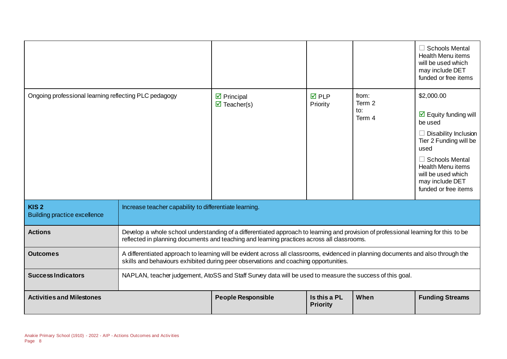|                                                         |                                                                                                                                                                                                                                   |                                                             |                                 |                                  | $\Box$ Schools Mental<br><b>Health Menu items</b><br>will be used which<br>may include DET<br>funded or free items                                                                                                                                          |
|---------------------------------------------------------|-----------------------------------------------------------------------------------------------------------------------------------------------------------------------------------------------------------------------------------|-------------------------------------------------------------|---------------------------------|----------------------------------|-------------------------------------------------------------------------------------------------------------------------------------------------------------------------------------------------------------------------------------------------------------|
| Ongoing professional learning reflecting PLC pedagogy   |                                                                                                                                                                                                                                   | $\boxtimes$ Principal<br>$\overline{\mathbf{M}}$ Teacher(s) | <b>☑</b> PLP<br>Priority        | from:<br>Term 2<br>to:<br>Term 4 | \$2,000.00<br>$\overline{\mathbf{2}}$ Equity funding will<br>be used<br>$\Box$ Disability Inclusion<br>Tier 2 Funding will be<br>used<br>$\Box$ Schools Mental<br><b>Health Menu items</b><br>will be used which<br>may include DET<br>funded or free items |
| KIS <sub>2</sub><br><b>Building practice excellence</b> | Increase teacher capability to differentiate learning.                                                                                                                                                                            |                                                             |                                 |                                  |                                                                                                                                                                                                                                                             |
| <b>Actions</b>                                          | Develop a whole school understanding of a differentiated approach to learning and provision of professional learning for this to be<br>reflected in planning documents and teaching and learning practices across all classrooms. |                                                             |                                 |                                  |                                                                                                                                                                                                                                                             |
| <b>Outcomes</b>                                         | A differentiated approach to learning will be evident across all classrooms, evidenced in planning documents and also through the<br>skills and behaviours exhibited during peer observations and coaching opportunities.         |                                                             |                                 |                                  |                                                                                                                                                                                                                                                             |
| <b>Success Indicators</b>                               | NAPLAN, teacher judgement, AtoSS and Staff Survey data will be used to measure the success of this goal.                                                                                                                          |                                                             |                                 |                                  |                                                                                                                                                                                                                                                             |
| <b>Activities and Milestones</b>                        |                                                                                                                                                                                                                                   | <b>People Responsible</b>                                   | Is this a PL<br><b>Priority</b> | When                             | <b>Funding Streams</b>                                                                                                                                                                                                                                      |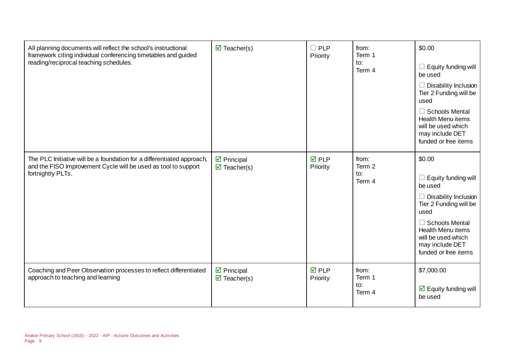| All planning documents will reflect the school's instructional<br>framework citing individual conferencing timetables and guided<br>reading/reciprocal teaching schedules. | $\overline{\mathbf{z}}$ Teacher(s)                               | $\Box$ PLP<br>Priority   | from:<br>Term 1<br>to:<br>Term 4 | \$0.00<br>$\Box$ Equity funding will<br>be used<br>$\Box$ Disability Inclusion<br>Tier 2 Funding will be<br>used<br>$\Box$ Schools Mental<br><b>Health Menu items</b><br>will be used which<br>may include DET<br>funded or free items |
|----------------------------------------------------------------------------------------------------------------------------------------------------------------------------|------------------------------------------------------------------|--------------------------|----------------------------------|----------------------------------------------------------------------------------------------------------------------------------------------------------------------------------------------------------------------------------------|
| The PLC Initiative will be a foundation for a differentiated approach,<br>and the FISO Improvement Cycle will be used as tool to support<br>fortnightly PLTs.              | $\triangleright$ Principal<br>$\overline{\mathbf{M}}$ Teacher(s) | <b>☑</b> PLP<br>Priority | from:<br>Term 2<br>to:<br>Term 4 | \$0.00<br>Equity funding will<br>be used<br>$\Box$ Disability Inclusion<br>Tier 2 Funding will be<br>used<br>$\Box$ Schools Mental<br><b>Health Menu items</b><br>will be used which<br>may include DET<br>funded or free items        |
| Coaching and Peer Observation processes to reflect differentiated<br>approach to teaching and learning                                                                     | $\triangleright$ Principal<br>$\overline{\mathbf{M}}$ Teacher(s) | <b>☑</b> PLP<br>Priority | from:<br>Term 1<br>to:<br>Term 4 | \$7,000.00<br>$\overline{\boxtimes}$ Equity funding will<br>be used                                                                                                                                                                    |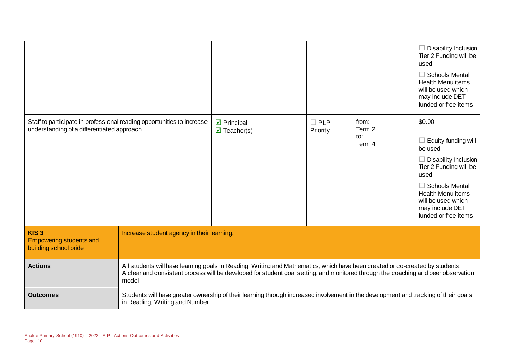|                                                                                                                      |                                                                                                                                                                                                                                                                              |                                                                                                                                     |                           |                                  | $\Box$ Disability Inclusion<br>Tier 2 Funding will be<br>used<br>$\Box$ Schools Mental<br><b>Health Menu items</b><br>will be used which<br>may include DET<br>funded or free items                                             |
|----------------------------------------------------------------------------------------------------------------------|------------------------------------------------------------------------------------------------------------------------------------------------------------------------------------------------------------------------------------------------------------------------------|-------------------------------------------------------------------------------------------------------------------------------------|---------------------------|----------------------------------|---------------------------------------------------------------------------------------------------------------------------------------------------------------------------------------------------------------------------------|
| Staff to participate in professional reading opportunities to increase<br>understanding of a differentiated approach |                                                                                                                                                                                                                                                                              | $\triangledown$ Principal<br>$\overline{\mathbf{z}}$ Teacher(s)                                                                     | $\square$ PLP<br>Priority | from:<br>Term 2<br>to:<br>Term 4 | \$0.00<br>$\Box$ Equity funding will<br>be used<br>$\Box$ Disability Inclusion<br>Tier 2 Funding will be<br>used<br>$\Box$ Schools Mental<br>Health Menu items<br>will be used which<br>may include DET<br>funded or free items |
| KIS <sub>3</sub><br><b>Empowering students and</b><br>building school pride                                          | Increase student agency in their learning.                                                                                                                                                                                                                                   |                                                                                                                                     |                           |                                  |                                                                                                                                                                                                                                 |
| <b>Actions</b>                                                                                                       | All students will have learning goals in Reading, Writing and Mathematics, which have been created or co-created by students.<br>A clear and consistent process will be developed for student goal setting, and monitored through the coaching and peer observation<br>model |                                                                                                                                     |                           |                                  |                                                                                                                                                                                                                                 |
| <b>Outcomes</b>                                                                                                      | in Reading, Writing and Number.                                                                                                                                                                                                                                              | Students will have greater ownership of their learning through increased involvement in the development and tracking of their goals |                           |                                  |                                                                                                                                                                                                                                 |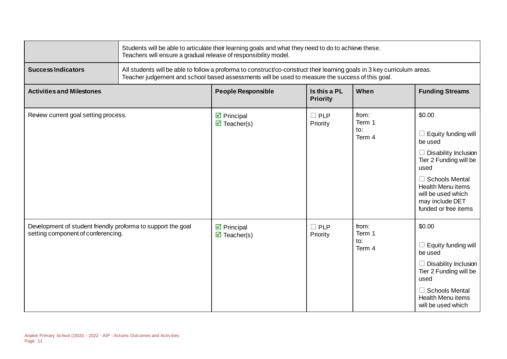|                                                                                                    | Students will be able to articulate their learning goals and what they need to do to achieve these.<br>Teachers will ensure a gradual release of responsibility model. |                                                                                                                                                                                                                              |                                 |                                  |                                                                                                                                                                                                                                        |
|----------------------------------------------------------------------------------------------------|------------------------------------------------------------------------------------------------------------------------------------------------------------------------|------------------------------------------------------------------------------------------------------------------------------------------------------------------------------------------------------------------------------|---------------------------------|----------------------------------|----------------------------------------------------------------------------------------------------------------------------------------------------------------------------------------------------------------------------------------|
| <b>Success Indicators</b>                                                                          |                                                                                                                                                                        | All students will be able to follow a proforma to construct/co-construct their learning goals in 3 key curriculum areas.<br>Teacher judgement and school based assessments will be used to measure the success of this goal. |                                 |                                  |                                                                                                                                                                                                                                        |
| <b>Activities and Milestones</b>                                                                   |                                                                                                                                                                        | <b>People Responsible</b>                                                                                                                                                                                                    | Is this a PL<br><b>Priority</b> | When                             | <b>Funding Streams</b>                                                                                                                                                                                                                 |
| Review current goal setting process.                                                               |                                                                                                                                                                        | $\triangleright$ Principal<br>$\overline{\mathbf{z}}$ Teacher(s)                                                                                                                                                             | $\square$ PLP<br>Priority       | from:<br>Term 1<br>to:<br>Term 4 | \$0.00<br>$\Box$ Equity funding will<br>be used<br>$\Box$ Disability Inclusion<br>Tier 2 Funding will be<br>used<br>$\Box$ Schools Mental<br><b>Health Menu items</b><br>will be used which<br>may include DET<br>funded or free items |
| Development of student friendly proforma to support the goal<br>setting component of conferencing. |                                                                                                                                                                        | $\triangleright$ Principal<br>$\overline{\mathbf{z}}$ Teacher(s)                                                                                                                                                             | $\square$ PLP<br>Priority       | from:<br>Term 1<br>to:<br>Term 4 | \$0.00<br>$\Box$ Equity funding will<br>be used<br>$\Box$ Disability Inclusion<br>Tier 2 Funding will be<br>used<br>$\Box$ Schools Mental<br><b>Health Menu items</b><br>will be used which                                            |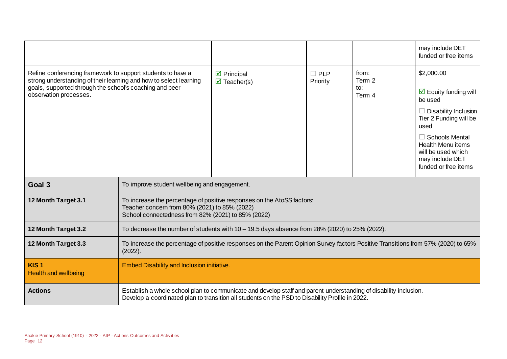|                                                                                                                                                                                                                       |                                                                                                                                                                                                                     |                                                                  |                        |                                  | may include DET<br>funded or free items                                                                                                                                                                                                             |
|-----------------------------------------------------------------------------------------------------------------------------------------------------------------------------------------------------------------------|---------------------------------------------------------------------------------------------------------------------------------------------------------------------------------------------------------------------|------------------------------------------------------------------|------------------------|----------------------------------|-----------------------------------------------------------------------------------------------------------------------------------------------------------------------------------------------------------------------------------------------------|
| Refine conferencing framework to support students to have a<br>strong understanding of their learning and how to select learning<br>goals, supported through the school's coaching and peer<br>observation processes. |                                                                                                                                                                                                                     | $\triangleright$ Principal<br>$\overline{\mathbf{M}}$ Teacher(s) | $\Box$ PLP<br>Priority | from:<br>Term 2<br>to:<br>Term 4 | \$2,000.00<br>$\triangledown$ Equity funding will<br>be used<br>$\Box$ Disability Inclusion<br>Tier 2 Funding will be<br>used<br>$\Box$ Schools Mental<br><b>Health Menu items</b><br>will be used which<br>may include DET<br>funded or free items |
| Goal 3                                                                                                                                                                                                                | To improve student wellbeing and engagement.                                                                                                                                                                        |                                                                  |                        |                                  |                                                                                                                                                                                                                                                     |
| 12 Month Target 3.1                                                                                                                                                                                                   | To increase the percentage of positive responses on the AtoSS factors:<br>Teacher concern from 80% (2021) to 85% (2022)<br>School connectedness from 82% (2021) to 85% (2022)                                       |                                                                  |                        |                                  |                                                                                                                                                                                                                                                     |
| 12 Month Target 3.2                                                                                                                                                                                                   | To decrease the number of students with $10-19.5$ days absence from 28% (2020) to 25% (2022).                                                                                                                       |                                                                  |                        |                                  |                                                                                                                                                                                                                                                     |
| 12 Month Target 3.3                                                                                                                                                                                                   | To increase the percentage of positive responses on the Parent Opinion Survey factors Positive Transitions from 57% (2020) to 65%<br>(2022).                                                                        |                                                                  |                        |                                  |                                                                                                                                                                                                                                                     |
| KIS <sub>1</sub><br><b>Health and wellbeing</b>                                                                                                                                                                       | Embed Disability and Inclusion initiative.                                                                                                                                                                          |                                                                  |                        |                                  |                                                                                                                                                                                                                                                     |
| <b>Actions</b>                                                                                                                                                                                                        | Establish a whole school plan to communicate and develop staff and parent understanding of disability inclusion.<br>Develop a coordinated plan to transition all students on the PSD to Disability Profile in 2022. |                                                                  |                        |                                  |                                                                                                                                                                                                                                                     |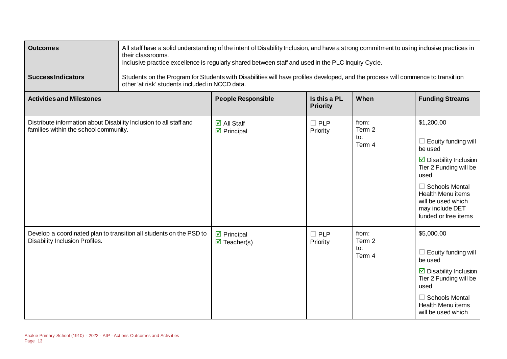| <b>Outcomes</b>                                                                                             | All staff have a solid understanding of the intent of Disability Inclusion, and have a strong commitment to using inclusive practices in<br>their classrooms.<br>Inclusive practice excellence is regularly shared between staff and used in the PLC Inquiry Cycle. |                                                                                                                                  |                                 |                                  |                                                                                                                                                                                                                                                             |
|-------------------------------------------------------------------------------------------------------------|---------------------------------------------------------------------------------------------------------------------------------------------------------------------------------------------------------------------------------------------------------------------|----------------------------------------------------------------------------------------------------------------------------------|---------------------------------|----------------------------------|-------------------------------------------------------------------------------------------------------------------------------------------------------------------------------------------------------------------------------------------------------------|
| <b>Success Indicators</b>                                                                                   | other 'at risk' students included in NCCD data.                                                                                                                                                                                                                     | Students on the Program for Students with Disabilities will have profiles developed, and the process will commence to transition |                                 |                                  |                                                                                                                                                                                                                                                             |
| <b>Activities and Milestones</b>                                                                            |                                                                                                                                                                                                                                                                     | <b>People Responsible</b>                                                                                                        | Is this a PL<br><b>Priority</b> | When                             | <b>Funding Streams</b>                                                                                                                                                                                                                                      |
| Distribute information about Disability Inclusion to all staff and<br>families within the school community. |                                                                                                                                                                                                                                                                     | $\overline{\Box}$ All Staff<br>$\triangleright$ Principal                                                                        | $\square$ PLP<br>Priority       | from:<br>Term 2<br>to:<br>Term 4 | \$1,200.00<br>$\Box$ Equity funding will<br>be used<br>$\overline{\mathbf{y}}$ Disability Inclusion<br>Tier 2 Funding will be<br>used<br>$\Box$ Schools Mental<br><b>Health Menu items</b><br>will be used which<br>may include DET<br>funded or free items |
| Develop a coordinated plan to transition all students on the PSD to<br>Disability Inclusion Profiles.       |                                                                                                                                                                                                                                                                     | $\triangleright$ Principal<br>$\triangledown$ Teacher(s)                                                                         | $\Box$ PLP<br>Priority          | from:<br>Term 2<br>to:<br>Term 4 | \$5,000.00<br>$\Box$ Equity funding will<br>be used<br>$\triangleright$ Disability Inclusion<br>Tier 2 Funding will be<br>used<br>$\Box$ Schools Mental<br><b>Health Menu items</b><br>will be used which                                                   |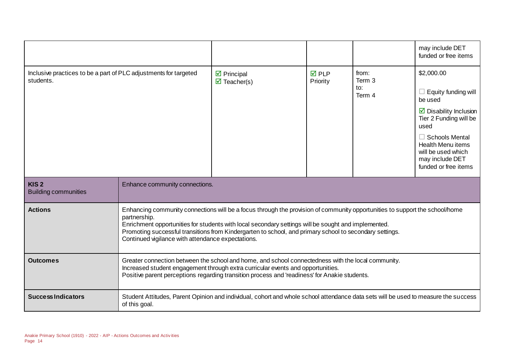|                                                                               |                                                                                                                                                                                                                                                                                                                                                                                                                    |                                                             |                          |                                  | may include DET<br>funded or free items                                                                                                                                                                                                       |
|-------------------------------------------------------------------------------|--------------------------------------------------------------------------------------------------------------------------------------------------------------------------------------------------------------------------------------------------------------------------------------------------------------------------------------------------------------------------------------------------------------------|-------------------------------------------------------------|--------------------------|----------------------------------|-----------------------------------------------------------------------------------------------------------------------------------------------------------------------------------------------------------------------------------------------|
| Inclusive practices to be a part of PLC adjustments for targeted<br>students. |                                                                                                                                                                                                                                                                                                                                                                                                                    | $\boxtimes$ Principal<br>$\overline{\mathbf{z}}$ Teacher(s) | <b>☑</b> PLP<br>Priority | from:<br>Term 3<br>to:<br>Term 4 | \$2,000.00<br>Equity funding will<br>be used<br>$\triangleright$ Disability Inclusion<br>Tier 2 Funding will be<br>used<br>$\Box$ Schools Mental<br><b>Health Menu items</b><br>will be used which<br>may include DET<br>funded or free items |
| KIS <sub>2</sub><br><b>Building communities</b>                               | Enhance community connections.                                                                                                                                                                                                                                                                                                                                                                                     |                                                             |                          |                                  |                                                                                                                                                                                                                                               |
| <b>Actions</b>                                                                | Enhancing community connections will be a focus through the provision of community opportunities to support the school/home<br>partnership.<br>Enrichment opportunities for students with local secondary settings will be sought and implemented.<br>Promoting successful transitions from Kindergarten to school, and primary school to secondary settings.<br>Continued vigilance with attendance expectations. |                                                             |                          |                                  |                                                                                                                                                                                                                                               |
| <b>Outcomes</b>                                                               | Greater connection between the school and home, and school connectedness with the local community.<br>Increased student engagement through extra curricular events and opportunities.<br>Positive parent perceptions regarding transition process and 'readiness' for Anakie students.                                                                                                                             |                                                             |                          |                                  |                                                                                                                                                                                                                                               |
| <b>Success Indicators</b>                                                     | Student Attitudes, Parent Opinion and individual, cohort and whole school attendance data sets will be used to measure the success<br>of this goal.                                                                                                                                                                                                                                                                |                                                             |                          |                                  |                                                                                                                                                                                                                                               |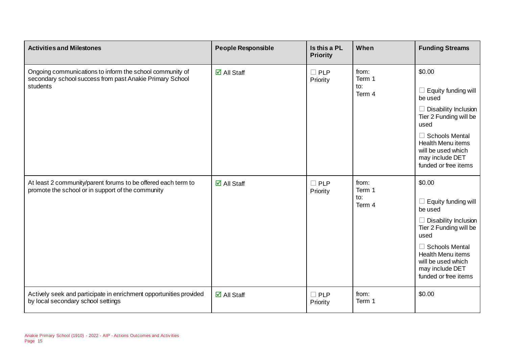| <b>Activities and Milestones</b>                                                                                                 | <b>People Responsible</b>   | Is this a PL<br><b>Priority</b>  | When                             | <b>Funding Streams</b>                                                                                                                                                                                                   |
|----------------------------------------------------------------------------------------------------------------------------------|-----------------------------|----------------------------------|----------------------------------|--------------------------------------------------------------------------------------------------------------------------------------------------------------------------------------------------------------------------|
| Ongoing communications to inform the school community of<br>secondary school success from past Anakie Primary School<br>students | $\overline{\Box}$ All Staff | <b>PLP</b><br>$\Box$<br>Priority | from:<br>Term 1<br>to:<br>Term 4 | \$0.00<br>Equity funding will<br>be used<br>Disability Inclusion<br>Tier 2 Funding will be<br>used<br><b>Schools Mental</b><br><b>Health Menu items</b><br>will be used which<br>may include DET<br>funded or free items |
| At least 2 community/parent forums to be offered each term to<br>promote the school or in support of the community               | $\boxdot$ All Staff         | $\Box$ PLP<br>Priority           | from:<br>Term 1<br>to:<br>Term 4 | \$0.00<br>Equity funding will<br>be used<br>Disability Inclusion<br>Tier 2 Funding will be<br>used<br><b>Schools Mental</b><br><b>Health Menu items</b><br>will be used which<br>may include DET<br>funded or free items |
| Actively seek and participate in enrichment opportunities provided<br>by local secondary school settings                         | $\boxtimes$ All Staff       | $\Box$ PLP<br>Priority           | from:<br>Term 1                  | \$0.00                                                                                                                                                                                                                   |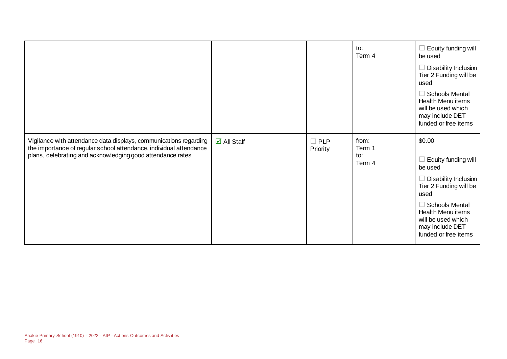|                                                                                                                                                                                                        |                             |                        | to:<br>Term 4                    | Equity funding will<br>be used<br>Disability Inclusion<br>Tier 2 Funding will be<br>used<br><b>Schools Mental</b><br><b>Health Menu items</b><br>will be used which<br>may include DET<br>funded or free items           |
|--------------------------------------------------------------------------------------------------------------------------------------------------------------------------------------------------------|-----------------------------|------------------------|----------------------------------|--------------------------------------------------------------------------------------------------------------------------------------------------------------------------------------------------------------------------|
| Vigilance with attendance data displays, communications regarding<br>the importance of regular school attendance, individual attendance<br>plans, celebrating and acknowledging good attendance rates. | $\overline{\Box}$ All Staff | $\Box$ PLP<br>Priority | from:<br>Term 1<br>to:<br>Term 4 | \$0.00<br>Equity funding will<br>be used<br>Disability Inclusion<br>Tier 2 Funding will be<br>used<br><b>Schools Mental</b><br><b>Health Menu items</b><br>will be used which<br>may include DET<br>funded or free items |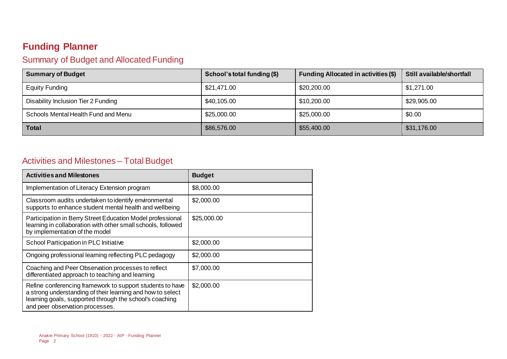### **Funding Planner**

#### Summary of Budget and Allocated Funding

| <b>Summary of Budget</b>            | School's total funding (\$) | Funding Allocated in activities (\$) | Still available/shortfall |
|-------------------------------------|-----------------------------|--------------------------------------|---------------------------|
| <b>Equity Funding</b>               | \$21,471.00                 | \$20,200.00                          | \$1,271.00                |
| Disability Inclusion Tier 2 Funding | \$40,105.00                 | \$10,200.00                          | \$29,905.00               |
| Schools Mental Health Fund and Menu | \$25,000.00                 | \$25,000.00                          | \$0.00                    |
| <b>Total</b>                        | \$86,576.00                 | \$55,400.00                          | \$31,176.00               |

#### Activities and Milestones – Total Budget

| <b>Activities and Milestones</b>                                                                                                                                                                                      | <b>Budget</b> |
|-----------------------------------------------------------------------------------------------------------------------------------------------------------------------------------------------------------------------|---------------|
| Implementation of Literacy Extension program                                                                                                                                                                          | \$8,000.00    |
| Classroom audits undertaken to identify environmental<br>supports to enhance student mental health and wellbeing                                                                                                      | \$2,000.00    |
| Participation in Berry Street Education Model professional<br>learning in collaboration with other small schools, followed<br>by implementation of the model                                                          | \$25,000.00   |
| School Participation in PLC Initiative                                                                                                                                                                                | \$2,000.00    |
| Ongoing professional learning reflecting PLC pedagogy                                                                                                                                                                 | \$2,000.00    |
| Coaching and Peer Observation processes to reflect<br>differentiated approach to teaching and learning                                                                                                                | \$7,000.00    |
| Refine conferencing framework to support students to have<br>a strong understanding of their learning and how to select<br>learning goals, supported through the school's coaching<br>and peer observation processes. | \$2,000.00    |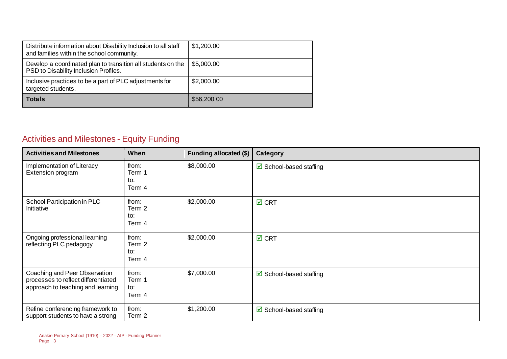| Distribute information about Disability Inclusion to all staff<br>and families within the school community. | \$1,200.00  |
|-------------------------------------------------------------------------------------------------------------|-------------|
| Develop a coordinated plan to transition all students on the<br>PSD to Disability Inclusion Profiles.       | \$5,000.00  |
| Inclusive practices to be a part of PLC adjustments for<br>targeted students.                               | \$2,000.00  |
| <b>Totals</b>                                                                                               | \$56,200.00 |

### Activities and Milestones - Equity Funding

| <b>Activities and Milestones</b>                                                                          | When                             | Funding allocated (\$) | Category                          |
|-----------------------------------------------------------------------------------------------------------|----------------------------------|------------------------|-----------------------------------|
| Implementation of Literacy<br>Extension program                                                           | from:<br>Term 1<br>to:<br>Term 4 | \$8,000.00             | $\boxtimes$ School-based staffing |
| School Participation in PLC<br>Initiative                                                                 | from:<br>Term 2<br>to:<br>Term 4 | \$2,000.00             | $\boxtimes$ CRT                   |
| Ongoing professional learning<br>reflecting PLC pedagogy                                                  | from:<br>Term 2<br>to:<br>Term 4 | \$2,000.00             | $\boxtimes$ CRT                   |
| Coaching and Peer Observation<br>processes to reflect differentiated<br>approach to teaching and learning | from:<br>Term 1<br>to:<br>Term 4 | \$7,000.00             | ☑ School-based staffing           |
| Refine conferencing framework to<br>support students to have a strong                                     | from:<br>Term 2                  | \$1,200.00             | $\boxtimes$ School-based staffing |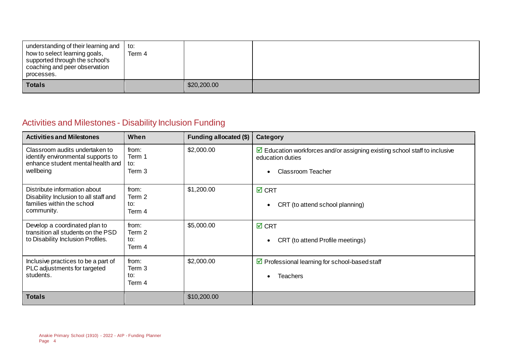| understanding of their learning and $\vert$ to:<br>how to select learning goals,<br>supported through the school's<br>coaching and peer observation<br>processes. | Term 4 |             |  |
|-------------------------------------------------------------------------------------------------------------------------------------------------------------------|--------|-------------|--|
| <b>Totals</b>                                                                                                                                                     |        | \$20,200.00 |  |

#### Activities and Milestones - Disability Inclusion Funding

| <b>Activities and Milestones</b>                                                                                       | When                             | Funding allocated (\$) | Category                                                                                                                                  |
|------------------------------------------------------------------------------------------------------------------------|----------------------------------|------------------------|-------------------------------------------------------------------------------------------------------------------------------------------|
| Classroom audits undertaken to<br>identify environmental supports to<br>enhance student mental health and<br>wellbeing | from:<br>Term 1<br>to:<br>Term 3 | \$2,000.00             | $\triangleright$ Education workforces and/or assigning existing school staff to inclusive<br>education duties<br><b>Classroom Teacher</b> |
| Distribute information about<br>Disability Inclusion to all staff and<br>families within the school<br>community.      | from:<br>Term 2<br>to:<br>Term 4 | \$1,200.00             | $\boxtimes$ CRT<br>CRT (to attend school planning)                                                                                        |
| Develop a coordinated plan to<br>transition all students on the PSD<br>to Disability Inclusion Profiles.               | from:<br>Term 2<br>to:<br>Term 4 | \$5,000.00             | $\boxtimes$ CRT<br>CRT (to attend Profile meetings)                                                                                       |
| Inclusive practices to be a part of<br>PLC adjustments for targeted<br>students.                                       | from:<br>Term 3<br>to:<br>Term 4 | \$2,000.00             | $\triangleright$ Professional learning for school-based staff<br><b>Teachers</b>                                                          |
| <b>Totals</b>                                                                                                          |                                  | \$10,200.00            |                                                                                                                                           |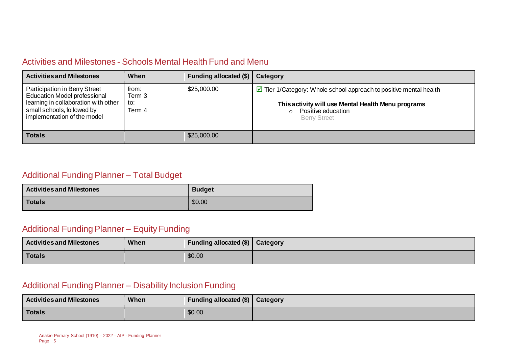#### Activities and Milestones - Schools Mental Health Fund and Menu

| <b>Activities and Milestones</b>                                                                                                                                                 | When                             | Funding allocated (\$) | Category                                                                                                                                                                                        |
|----------------------------------------------------------------------------------------------------------------------------------------------------------------------------------|----------------------------------|------------------------|-------------------------------------------------------------------------------------------------------------------------------------------------------------------------------------------------|
| <b>Participation in Berry Street</b><br><b>Education Model professional</b><br>learning in collaboration with other<br>small schools, followed by<br>implementation of the model | from:<br>Term 3<br>to:<br>Term 4 | \$25,000.00            | $\triangleright$ Tier 1/Category: Whole school approach to positive mental health<br>This activity will use Mental Health Menu programs<br>Positive education<br>$\circ$<br><b>Berry Street</b> |
| <b>Totals</b>                                                                                                                                                                    |                                  | \$25,000.00            |                                                                                                                                                                                                 |

#### Additional Funding Planner – Total Budget

| <b>Activities and Milestones</b> | <b>Budget</b> |
|----------------------------------|---------------|
| <b>Totals</b>                    | \$0.00        |

#### Additional Funding Planner – Equity Funding

| <b>Activities and Milestones</b> | When | Funding allocated $(\$)$   Category |  |
|----------------------------------|------|-------------------------------------|--|
| <b>Totals</b>                    |      | \$0.00                              |  |

#### Additional Funding Planner – Disability Inclusion Funding

| <b>Activities and Milestones</b> | When | Funding allocated $(\$)$   Category |  |
|----------------------------------|------|-------------------------------------|--|
| Totals                           |      | \$0.00                              |  |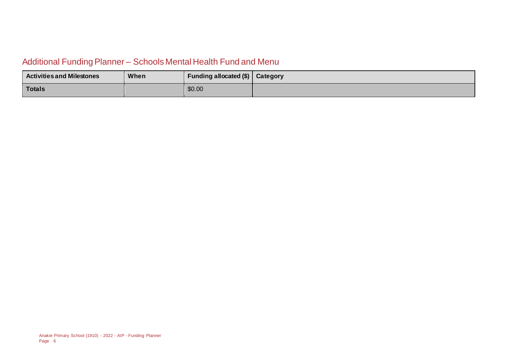#### Additional Funding Planner – Schools Mental Health Fund and Menu

| <b>Activities and Milestones</b> | <b>When</b> | Funding allocated (\$)   Category |  |
|----------------------------------|-------------|-----------------------------------|--|
| <b>Totals</b>                    |             | \$0.00                            |  |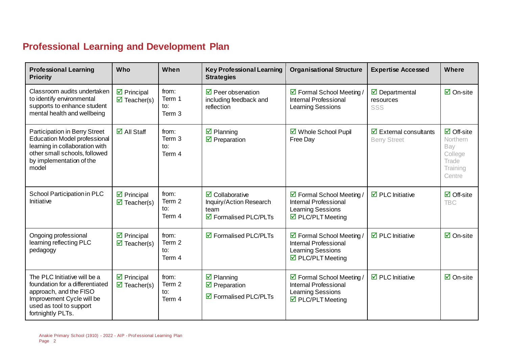### **Professional Learning and Development Plan**

| <b>Professional Learning</b><br><b>Priority</b>                                                                                                                                     | Who                                                              | When                             | <b>Key Professional Learning</b><br><b>Strategies</b>                                                                   | <b>Organisational Structure</b>                                                                                                    | <b>Expertise Accessed</b>                                          | <b>Where</b>                                                                      |
|-------------------------------------------------------------------------------------------------------------------------------------------------------------------------------------|------------------------------------------------------------------|----------------------------------|-------------------------------------------------------------------------------------------------------------------------|------------------------------------------------------------------------------------------------------------------------------------|--------------------------------------------------------------------|-----------------------------------------------------------------------------------|
| Classroom audits undertaken<br>to identify environmental<br>supports to enhance student<br>mental health and wellbeing                                                              | $\triangleright$ Principal<br>$\overline{\mathbf{z}}$ Teacher(s) | from:<br>Term 1<br>to:<br>Term 3 | $\triangledown$ Peer observation<br>including feedback and<br>reflection                                                | ☑ Formal School Meeting /<br><b>Internal Professional</b><br><b>Learning Sessions</b>                                              | $\overline{\mathbf{y}}$ Departmental<br>resources<br>SSS           | $\boxtimes$ On-site                                                               |
| <b>Participation in Berry Street</b><br><b>Education Model professional</b><br>learning in collaboration with<br>other small schools, followed<br>by implementation of the<br>model | $\overline{\Box}$ All Staff                                      | from:<br>Term 3<br>to:<br>Term 4 | $\boxtimes$ Planning<br>$\triangleright$ Preparation                                                                    | ☑ Whole School Pupil<br>Free Day                                                                                                   | $\overline{\boxtimes}$ External consultants<br><b>Berry Street</b> | $\boxtimes$ Off-site<br>Northern<br>Bay<br>College<br>Trade<br>Training<br>Centre |
| School Participation in PLC<br>Initiative                                                                                                                                           | $\triangledown$ Principal<br>$\overline{\mathbf{z}}$ Teacher(s)  | from:<br>Term 2<br>to:<br>Term 4 | $\overline{\mathbf{2}}$ Collaborative<br>Inquiry/Action Research<br>team<br>$\overline{\mathbf{2}}$ Formalised PLC/PLTs | ☑ Formal School Meeting /<br><b>Internal Professional</b><br><b>Learning Sessions</b><br>$\triangledown$ PLC/PLT Meeting           | $\overline{\boxtimes}$ PLC Initiative                              | $\boxdot$ Off-site<br><b>TBC</b>                                                  |
| Ongoing professional<br>learning reflecting PLC<br>pedagogy                                                                                                                         | $\triangleright$ Principal<br>$\overline{\mathbf{z}}$ Teacher(s) | from:<br>Term 2<br>to:<br>Term 4 | $\overline{\mathbf{2}}$ Formalised PLC/PLTs                                                                             | $\boxtimes$ Formal School Meeting /<br><b>Internal Professional</b><br><b>Learning Sessions</b><br>$\triangledown$ PLC/PLT Meeting | $\overline{\boxtimes}$ PLC Initiative                              | $\boxtimes$ On-site                                                               |
| The PLC Initiative will be a<br>foundation for a differentiated<br>approach, and the FISO<br>Improvement Cycle will be<br>used as tool to support<br>fortnightly PLTs.              | $\boxtimes$ Principal<br>$\overline{\mathbf{M}}$ Teacher(s)      | from:<br>Term 2<br>to:<br>Term 4 | $\boxtimes$ Planning<br>$\overline{\mathbf{y}}$ Preparation<br>$\boxtimes$ Formalised PLC/PLTs                          | ☑ Formal School Meeting /<br><b>Internal Professional</b><br><b>Learning Sessions</b><br>$\triangledown$ PLC/PLT Meeting           | $\overline{\boxtimes}$ PLC Initiative                              | $\boxtimes$ On-site                                                               |